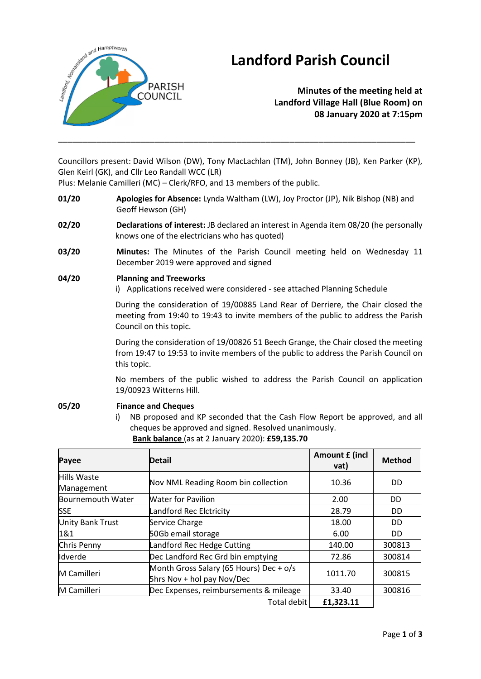

# **Landford Parish Council**

**Minutes of the meeting held at Landford Village Hall (Blue Room) on 08 January 2020 at 7:15pm**

Councillors present: David Wilson (DW), Tony MacLachlan (TM), John Bonney (JB), Ken Parker (KP), Glen Keirl (GK), and Cllr Leo Randall WCC (LR)

\_\_\_\_\_\_\_\_\_\_\_\_\_\_\_\_\_\_\_\_\_\_\_\_\_\_\_\_\_\_\_\_\_\_\_\_\_\_\_\_\_\_\_\_\_\_\_\_\_\_\_\_\_\_\_\_\_\_\_\_\_\_\_\_\_\_\_\_\_\_\_\_\_\_

Plus: Melanie Camilleri (MC) – Clerk/RFO, and 13 members of the public.

- **01/20 Apologies for Absence:** Lynda Waltham (LW), Joy Proctor (JP), Nik Bishop (NB) and Geoff Hewson (GH)
- **02/20 Declarations of interest:** JB declared an interest in Agenda item 08/20 (he personally knows one of the electricians who has quoted)
- **03/20 Minutes:** The Minutes of the Parish Council meeting held on Wednesday 11 December 2019 were approved and signed

#### **04/20 Planning and Treeworks**

i) Applications received were considered - see attached Planning Schedule

During the consideration of 19/00885 Land Rear of Derriere, the Chair closed the meeting from 19:40 to 19:43 to invite members of the public to address the Parish Council on this topic.

During the consideration of 19/00826 51 Beech Grange, the Chair closed the meeting from 19:47 to 19:53 to invite members of the public to address the Parish Council on this topic.

No members of the public wished to address the Parish Council on application 19/00923 Witterns Hill.

### **05/20 Finance and Cheques**

i) NB proposed and KP seconded that the Cash Flow Report be approved, and all cheques be approved and signed. Resolved unanimously. **Bank balance** (as at 2 January 2020): **£59,135.70**

| Payee                     | <b>Detail</b>                                                         | Amount £ (incl<br>vat) | <b>Method</b> |
|---------------------------|-----------------------------------------------------------------------|------------------------|---------------|
| Hills Waste<br>Management | Nov NML Reading Room bin collection                                   | 10.36                  | DD            |
| <b>Bournemouth Water</b>  | <b>Water for Pavilion</b>                                             | 2.00                   | <b>DD</b>     |
| <b>SSE</b>                | Landford Rec Elctricity                                               | 28.79                  | DD            |
| <b>Unity Bank Trust</b>   | Service Charge                                                        | 18.00                  | DD            |
| 1&1                       | 50Gb email storage                                                    | 6.00                   | DD.           |
| Chris Penny               | Landford Rec Hedge Cutting                                            | 140.00                 | 300813        |
| Idverde                   | Dec Landford Rec Grd bin emptying                                     | 72.86                  | 300814        |
| M Camilleri               | Month Gross Salary (65 Hours) Dec + o/s<br>5hrs Nov + hol pay Nov/Dec | 1011.70                | 300815        |
| M Camilleri               | Dec Expenses, reimbursements & mileage                                | 33.40                  | 300816        |
|                           | Total debit                                                           | £1,323.11              |               |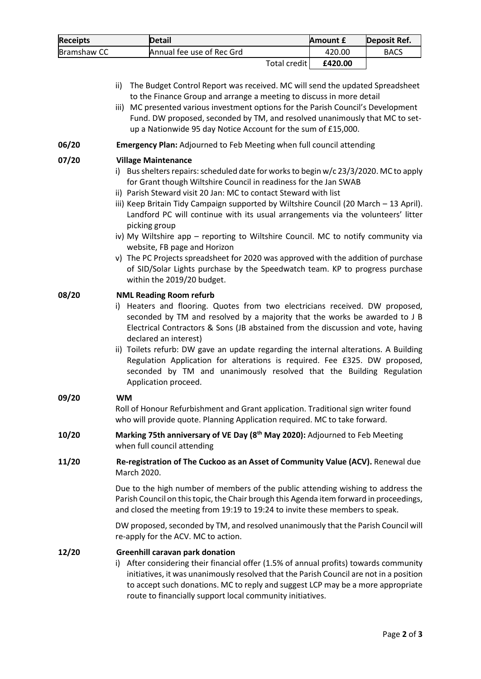| <b>Receipts</b> | <b>Detail</b>             |              | Amount £ | Deposit Ref. |
|-----------------|---------------------------|--------------|----------|--------------|
| Bramshaw CC     | Annual fee use of Rec Grd |              | 420.00   | <b>BACS</b>  |
|                 |                           | Total credit | £420.00  |              |

- ii) The Budget Control Report was received. MC will send the updated Spreadsheet to the Finance Group and arrange a meeting to discuss in more detail
- iii) MC presented various investment options for the Parish Council's Development Fund. DW proposed, seconded by TM, and resolved unanimously that MC to setup a Nationwide 95 day Notice Account for the sum of £15,000.
- **06/20 Emergency Plan:** Adjourned to Feb Meeting when full council attending

#### **07/20 Village Maintenance**

- i) Bus shelters repairs: scheduled date for works to begin  $w/c$  23/3/2020. MC to apply for Grant though Wiltshire Council in readiness for the Jan SWAB
- ii) Parish Steward visit 20 Jan: MC to contact Steward with list
- iii) Keep Britain Tidy Campaign supported by Wiltshire Council (20 March 13 April). Landford PC will continue with its usual arrangements via the volunteers' litter picking group
- iv) My Wiltshire app reporting to Wiltshire Council. MC to notify community via website, FB page and Horizon
- v) The PC Projects spreadsheet for 2020 was approved with the addition of purchase of SID/Solar Lights purchase by the Speedwatch team. KP to progress purchase within the 2019/20 budget.

#### **08/20 NML Reading Room refurb**

- i) Heaters and flooring. Quotes from two electricians received. DW proposed, seconded by TM and resolved by a majority that the works be awarded to J B Electrical Contractors & Sons (JB abstained from the discussion and vote, having declared an interest)
- ii) Toilets refurb: DW gave an update regarding the internal alterations. A Building Regulation Application for alterations is required. Fee £325. DW proposed, seconded by TM and unanimously resolved that the Building Regulation Application proceed.

#### **09/20 WM**

Roll of Honour Refurbishment and Grant application. Traditional sign writer found who will provide quote. Planning Application required. MC to take forward.

- **10/20 Marking 75th anniversary of VE Day (8 th May 2020):** Adjourned to Feb Meeting when full council attending
- **11/20 Re-registration of The Cuckoo as an Asset of Community Value (ACV).** Renewal due March 2020.

Due to the high number of members of the public attending wishing to address the Parish Council on this topic, the Chair brough this Agenda item forward in proceedings, and closed the meeting from 19:19 to 19:24 to invite these members to speak.

DW proposed, seconded by TM, and resolved unanimously that the Parish Council will re-apply for the ACV. MC to action.

#### **12/20 Greenhill caravan park donation**

i) After considering their financial offer (1.5% of annual profits) towards community initiatives, it was unanimously resolved that the Parish Council are not in a position to accept such donations. MC to reply and suggest LCP may be a more appropriate route to financially support local community initiatives.